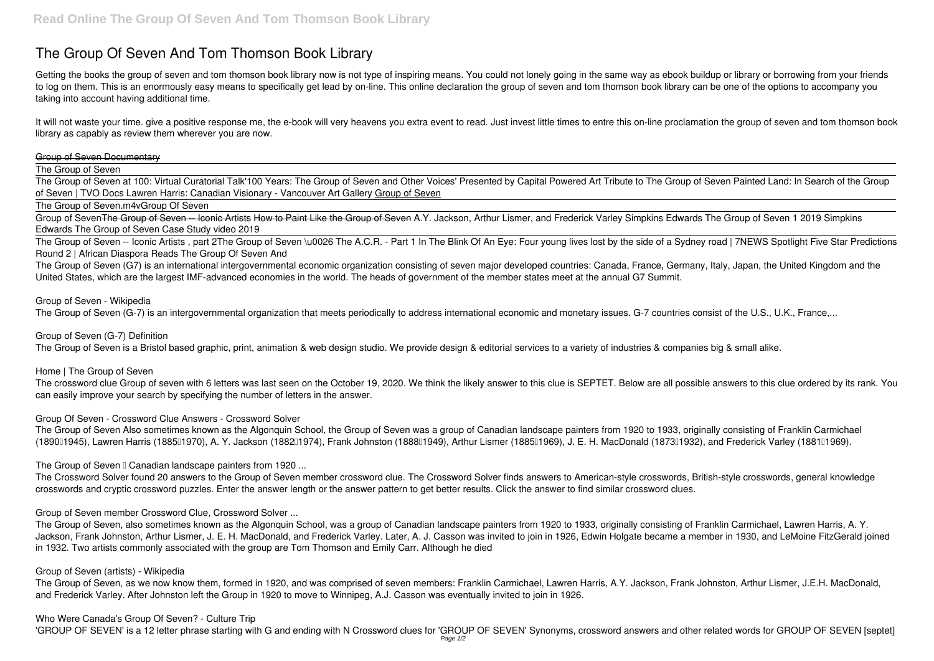# **The Group Of Seven And Tom Thomson Book Library**

Getting the books **the group of seven and tom thomson book library** now is not type of inspiring means. You could not lonely going in the same way as ebook buildup or library or borrowing from your friends to log on them. This is an enormously easy means to specifically get lead by on-line. This online declaration the group of seven and tom thomson book library can be one of the options to accompany you taking into account having additional time.

It will not waste your time. give a positive response me, the e-book will very heavens you extra event to read. Just invest little times to entre this on-line proclamation **the group of seven and tom thomson book library** as capably as review them wherever you are now.

#### Group of Seven Documentary

The Group of Seven

The Group of Seven at 100: Virtual Curatorial Talk**'100 Years: The Group of Seven and Other Voices' Presented by Capital Powered Art** Tribute to The Group of Seven Painted Land: In Search of the Group of Seven | TVO Docs *Lawren Harris: Canadian Visionary - Vancouver Art Gallery* Group of Seven

The Group of Seven.m4v**Group Of Seven**

Group of SevenThe Group of Seven -- Iconic Artists How to Paint Like the Group of Seven A.Y. Jackson, Arthur Lismer, and Frederick Varley *Simpkins Edwards The Group of Seven 1 2019 Simpkins Edwards The Group of Seven Case Study video 2019*

The Group of Seven Also sometimes known as the Algonquin School, the Group of Seven was a group of Canadian landscape painters from 1920 to 1933, originally consisting of Franklin Carmichael (189001945), Lawren Harris (188501970), A. Y. Jackson (188201974), Frank Johnston (188801949), Arthur Lismer (188501969), J. E. H. MacDonald (187301932), and Frederick Varley (188101969).

The Group of Seven **E** Canadian landscape painters from 1920 ...

The Group of Seven -- Iconic Artists , part 2*The Group of Seven \u0026 The A.C.R. - Part 1* In The Blink Of An Eye: Four young lives lost by the side of a Sydney road | 7NEWS Spotlight *Five Star Predictions Round 2 | African Diaspora Reads The Group Of Seven And*

The Group of Seven (G7) is an international intergovernmental economic organization consisting of seven major developed countries: Canada, France, Germany, Italy, Japan, the United Kingdom and the United States, which are the largest IMF-advanced economies in the world. The heads of government of the member states meet at the annual G7 Summit.

#### *Group of Seven - Wikipedia*

The Group of Seven (G-7) is an intergovernmental organization that meets periodically to address international economic and monetary issues. G-7 countries consist of the U.S., U.K., France,...

## *Group of Seven (G-7) Definition*

The Group of Seven is a Bristol based graphic, print, animation & web design studio. We provide design & editorial services to a variety of industries & companies big & small alike.

#### *Home | The Group of Seven*

The crossword clue Group of seven with 6 letters was last seen on the October 19, 2020. We think the likely answer to this clue is SEPTET. Below are all possible answers to this clue ordered by its rank. You can easily improve your search by specifying the number of letters in the answer.

## *Group Of Seven - Crossword Clue Answers - Crossword Solver*

The Crossword Solver found 20 answers to the Group of Seven member crossword clue. The Crossword Solver finds answers to American-style crosswords, British-style crosswords, general knowledge crosswords and cryptic crossword puzzles. Enter the answer length or the answer pattern to get better results. Click the answer to find similar crossword clues.

*Group of Seven member Crossword Clue, Crossword Solver ...*

The Group of Seven, also sometimes known as the Algonquin School, was a group of Canadian landscape painters from 1920 to 1933, originally consisting of Franklin Carmichael, Lawren Harris, A. Y. Jackson, Frank Johnston, Arthur Lismer, J. E. H. MacDonald, and Frederick Varley. Later, A. J. Casson was invited to join in 1926, Edwin Holgate became a member in 1930, and LeMoine FitzGerald joined in 1932. Two artists commonly associated with the group are Tom Thomson and Emily Carr. Although he died

#### *Group of Seven (artists) - Wikipedia*

The Group of Seven, as we now know them, formed in 1920, and was comprised of seven members: Franklin Carmichael, Lawren Harris, A.Y. Jackson, Frank Johnston, Arthur Lismer, J.E.H. MacDonald, and Frederick Varley. After Johnston left the Group in 1920 to move to Winnipeg, A.J. Casson was eventually invited to join in 1926.

## *Who Were Canada's Group Of Seven? - Culture Trip*

'GROUP OF SEVEN' is a 12 letter phrase starting with G and ending with N Crossword clues for 'GROUP OF SEVEN' Synonyms, crossword answers and other related words for GROUP OF SEVEN [septet]